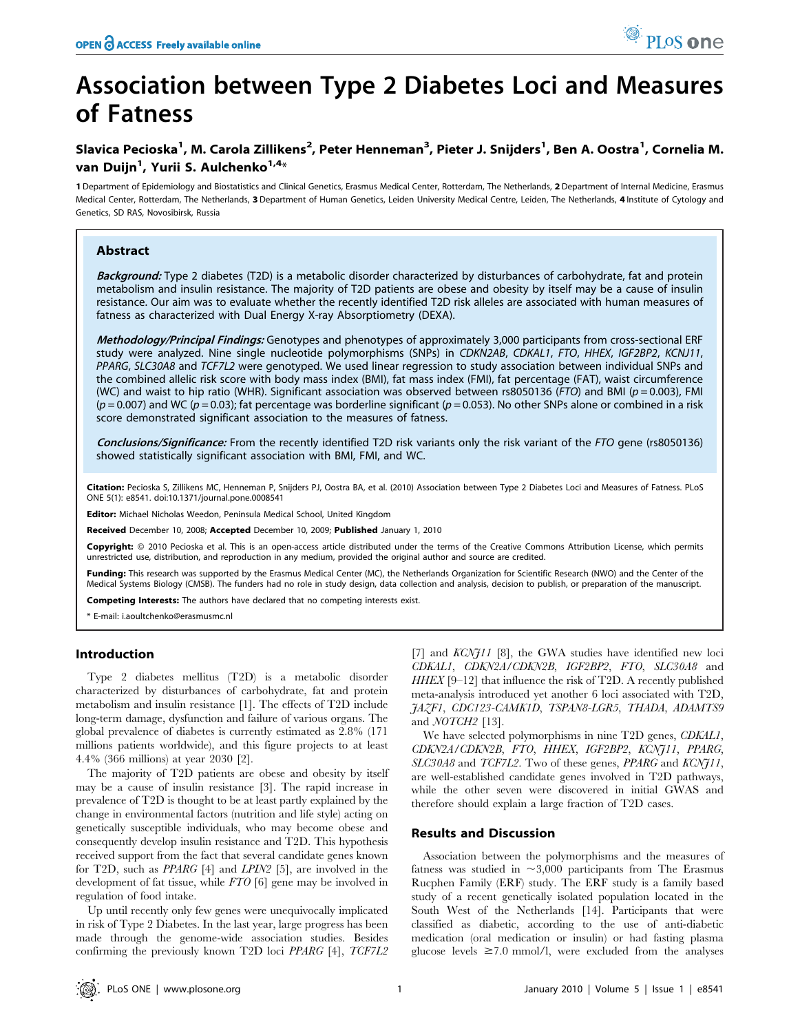# Association between Type 2 Diabetes Loci and Measures of Fatness

## Slavica Pecioska<sup>1</sup>, M. Carola Zillikens<sup>2</sup>, Peter Henneman<sup>3</sup>, Pieter J. Snijders<sup>1</sup>, Ben A. Oostra<sup>1</sup>, Cornelia M. van Duijn<sup>1</sup>, Yurii S. Aulchenko<sup>1,4</sup>\*

1 Department of Epidemiology and Biostatistics and Clinical Genetics, Erasmus Medical Center, Rotterdam, The Netherlands, 2 Department of Internal Medicine, Erasmus Medical Center, Rotterdam, The Netherlands, 3 Department of Human Genetics, Leiden University Medical Centre, Leiden, The Netherlands, 4 Institute of Cytology and Genetics, SD RAS, Novosibirsk, Russia

## Abstract

Background: Type 2 diabetes (T2D) is a metabolic disorder characterized by disturbances of carbohydrate, fat and protein metabolism and insulin resistance. The majority of T2D patients are obese and obesity by itself may be a cause of insulin resistance. Our aim was to evaluate whether the recently identified T2D risk alleles are associated with human measures of fatness as characterized with Dual Energy X-ray Absorptiometry (DEXA).

Methodology/Principal Findings: Genotypes and phenotypes of approximately 3,000 participants from cross-sectional ERF study were analyzed. Nine single nucleotide polymorphisms (SNPs) in CDKN2AB, CDKAL1, FTO, HHEX, IGF2BP2, KCNJ11, PPARG, SLC30A8 and TCF7L2 were genotyped. We used linear regression to study association between individual SNPs and the combined allelic risk score with body mass index (BMI), fat mass index (FMI), fat percentage (FAT), waist circumference (WC) and waist to hip ratio (WHR). Significant association was observed between rs8050136 (FTO) and BMI ( $p = 0.003$ ), FMI  $(p=0.007)$  and WC ( $p=0.03$ ); fat percentage was borderline significant ( $p=0.053$ ). No other SNPs alone or combined in a risk score demonstrated significant association to the measures of fatness.

Conclusions/Significance: From the recently identified T2D risk variants only the risk variant of the FTO gene (rs8050136) showed statistically significant association with BMI, FMI, and WC.

Citation: Pecioska S, Zillikens MC, Henneman P, Snijders PJ, Oostra BA, et al. (2010) Association between Type 2 Diabetes Loci and Measures of Fatness. PLoS ONE 5(1): e8541. doi:10.1371/journal.pone.0008541

Editor: Michael Nicholas Weedon, Peninsula Medical School, United Kingdom

Received December 10, 2008; Accepted December 10, 2009; Published January 1, 2010

Copyright: @ 2010 Pecioska et al. This is an open-access article distributed under the terms of the Creative Commons Attribution License, which permits unrestricted use, distribution, and reproduction in any medium, provided the original author and source are credited.

Funding: This research was supported by the Erasmus Medical Center (MC), the Netherlands Organization for Scientific Research (NWO) and the Center of the Medical Systems Biology (CMSB). The funders had no role in study design, data collection and analysis, decision to publish, or preparation of the manuscript.

Competing Interests: The authors have declared that no competing interests exist.

\* E-mail: i.aoultchenko@erasmusmc.nl

## Introduction

Type 2 diabetes mellitus (T2D) is a metabolic disorder characterized by disturbances of carbohydrate, fat and protein metabolism and insulin resistance [1]. The effects of T2D include long-term damage, dysfunction and failure of various organs. The global prevalence of diabetes is currently estimated as 2.8% (171 millions patients worldwide), and this figure projects to at least 4.4% (366 millions) at year 2030 [2].

The majority of T2D patients are obese and obesity by itself may be a cause of insulin resistance [3]. The rapid increase in prevalence of T2D is thought to be at least partly explained by the change in environmental factors (nutrition and life style) acting on genetically susceptible individuals, who may become obese and consequently develop insulin resistance and T2D. This hypothesis received support from the fact that several candidate genes known for T2D, such as PPARG [4] and LPIN2 [5], are involved in the development of fat tissue, while FTO [6] gene may be involved in regulation of food intake.

Up until recently only few genes were unequivocally implicated in risk of Type 2 Diabetes. In the last year, large progress has been made through the genome-wide association studies. Besides confirming the previously known T2D loci PPARG [4], TCF7L2

[7] and  $KCNJ11$  [8], the GWA studies have identified new loci CDKAL1, CDKN2A/CDKN2B, IGF2BP2, FTO, SLC30A8 and HHEX [9–12] that influence the risk of T2D. A recently published meta-analysis introduced yet another 6 loci associated with T2D, JAZF1, CDC123-CAMK1D, TSPAN8-LGR5, THADA, ADAMTS9 and  $NOTCH2$  [13].

We have selected polymorphisms in nine T2D genes, CDKAL1, CDKN2A/CDKN2B, FTO, HHEX, IGF2BP2, KCNJ11, PPARG, SLC30A8 and TCF7L2. Two of these genes, PPARG and KCNJ11, are well-established candidate genes involved in T2D pathways, while the other seven were discovered in initial GWAS and therefore should explain a large fraction of T2D cases.

## Results and Discussion

Association between the polymorphisms and the measures of fatness was studied in  $\sim 3,000$  participants from The Erasmus Rucphen Family (ERF) study. The ERF study is a family based study of a recent genetically isolated population located in the South West of the Netherlands [14]. Participants that were classified as diabetic, according to the use of anti-diabetic medication (oral medication or insulin) or had fasting plasma glucose levels  $\geq 7.0$  mmol/l, were excluded from the analyses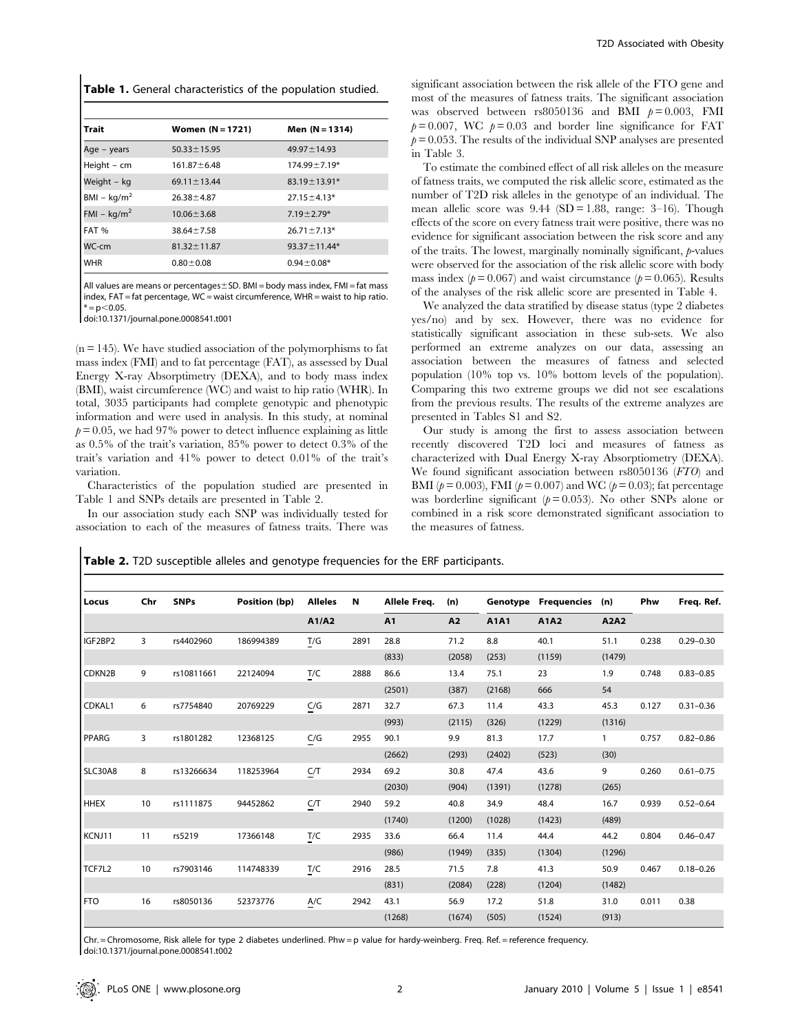|  |  |  | Table 1. General characteristics of the population studied. |  |  |  |
|--|--|--|-------------------------------------------------------------|--|--|--|
|--|--|--|-------------------------------------------------------------|--|--|--|

| Trait         | Women $(N = 1721)$ | Men $(N = 1314)$   |
|---------------|--------------------|--------------------|
| Age – years   | $50.33 \pm 15.95$  | $49.97 \pm 14.93$  |
| Height - cm   | $161.87 \pm 6.48$  | $174.99 \pm 7.19*$ |
| Weight - kg   | $69.11 \pm 13.44$  | $83.19 \pm 13.91*$ |
| $BM - kg/m2$  | $26.38 \pm 4.87$   | $27.15 \pm 4.13*$  |
| FMI – $kg/m2$ | $10.06 \pm 3.68$   | $7.19 \pm 2.79*$   |
| FAT %         | $38.64 \pm 7.58$   | $26.71 \pm 7.13*$  |
| WC-cm         | $81.32 \pm 11.87$  | $93.37 \pm 11.44*$ |
| <b>WHR</b>    | $0.80 \pm 0.08$    | $0.94 \pm 0.08*$   |

All values are means or percentages $\pm$ SD. BMI = body mass index, FMI = fat mass index, FAT = fat percentage, WC = waist circumference, WHR = waist to hip ratio.  $* = p < 0.05$ .

doi:10.1371/journal.pone.0008541.t001

 $(n = 145)$ . We have studied association of the polymorphisms to fat mass index (FMI) and to fat percentage (FAT), as assessed by Dual Energy X-ray Absorptimetry (DEXA), and to body mass index (BMI), waist circumference (WC) and waist to hip ratio (WHR). In total, 3035 participants had complete genotypic and phenotypic information and were used in analysis. In this study, at nominal  $p = 0.05$ , we had 97% power to detect influence explaining as little as 0.5% of the trait's variation, 85% power to detect 0.3% of the trait's variation and 41% power to detect 0.01% of the trait's variation.

Characteristics of the population studied are presented in Table 1 and SNPs details are presented in Table 2.

In our association study each SNP was individually tested for association to each of the measures of fatness traits. There was significant association between the risk allele of the FTO gene and most of the measures of fatness traits. The significant association was observed between rs8050136 and BMI  $p=0.003$ , FMI  $p= 0.007$ , WC  $p= 0.03$  and border line significance for FAT  $p= 0.053$ . The results of the individual SNP analyses are presented in Table 3.

To estimate the combined effect of all risk alleles on the measure of fatness traits, we computed the risk allelic score, estimated as the number of T2D risk alleles in the genotype of an individual. The mean allelic score was  $9.44$  (SD = 1.88, range: 3–16). Though effects of the score on every fatness trait were positive, there was no evidence for significant association between the risk score and any of the traits. The lowest, marginally nominally significant, p-values were observed for the association of the risk allelic score with body mass index ( $p = 0.067$ ) and waist circumstance ( $p = 0.065$ ). Results of the analyses of the risk allelic score are presented in Table 4.

We analyzed the data stratified by disease status (type 2 diabetes yes/no) and by sex. However, there was no evidence for statistically significant association in these sub-sets. We also performed an extreme analyzes on our data, assessing an association between the measures of fatness and selected population (10% top vs. 10% bottom levels of the population). Comparing this two extreme groups we did not see escalations from the previous results. The results of the extreme analyzes are presented in Tables S1 and S2.

Our study is among the first to assess association between recently discovered T2D loci and measures of fatness as characterized with Dual Energy X-ray Absorptiometry (DEXA). We found significant association between rs8050136 (FTO) and BMI ( $p = 0.003$ ), FMI ( $p = 0.007$ ) and WC ( $p = 0.03$ ); fat percentage was borderline significant ( $p = 0.053$ ). No other SNPs alone or combined in a risk score demonstrated significant association to the measures of fatness.

|  | Table 2. T2D susceptible alleles and genotype frequencies for the ERF participants. |  |  |  |
|--|-------------------------------------------------------------------------------------|--|--|--|
|--|-------------------------------------------------------------------------------------|--|--|--|

| Locus       | Chr | <b>SNPs</b> | Position (bp) | <b>Alleles</b>    | $\mathbf N$ | Allele Freq. | (n)    |        | <b>Genotype Frequencies</b> | (n)    | Phw   | Freq. Ref.    |
|-------------|-----|-------------|---------------|-------------------|-------------|--------------|--------|--------|-----------------------------|--------|-------|---------------|
|             |     |             |               | A1/A2             |             | A1           | A2     | A1A1   | A1A2                        | A2A2   |       |               |
| IGF2BP2     | 3   | rs4402960   | 186994389     | $\underline{T}/G$ | 2891        | 28.8         | 71.2   | 8.8    | 40.1                        | 51.1   | 0.238 | $0.29 - 0.30$ |
|             |     |             |               |                   |             | (833)        | (2058) | (253)  | (1159)                      | (1479) |       |               |
| CDKN2B      | 9   | rs10811661  | 22124094      | T/C               | 2888        | 86.6         | 13.4   | 75.1   | 23                          | 1.9    | 0.748 | $0.83 - 0.85$ |
|             |     |             |               |                   |             | (2501)       | (387)  | (2168) | 666                         | 54     |       |               |
| CDKAL1      | 6   | rs7754840   | 20769229      | C/G               | 2871        | 32.7         | 67.3   | 11.4   | 43.3                        | 45.3   | 0.127 | $0.31 - 0.36$ |
|             |     |             |               |                   |             | (993)        | (2115) | (326)  | (1229)                      | (1316) |       |               |
| PPARG       | 3   | rs1801282   | 12368125      | C/G               | 2955        | 90.1         | 9.9    | 81.3   | 17.7                        |        | 0.757 | $0.82 - 0.86$ |
|             |     |             |               |                   |             | (2662)       | (293)  | (2402) | (523)                       | (30)   |       |               |
| SLC30A8     | 8   | rs13266634  | 118253964     | C/T               | 2934        | 69.2         | 30.8   | 47.4   | 43.6                        | 9      | 0.260 | $0.61 - 0.75$ |
|             |     |             |               |                   |             | (2030)       | (904)  | (1391) | (1278)                      | (265)  |       |               |
| <b>HHEX</b> | 10  | rs1111875   | 94452862      | C/T               | 2940        | 59.2         | 40.8   | 34.9   | 48.4                        | 16.7   | 0.939 | $0.52 - 0.64$ |
|             |     |             |               |                   |             | (1740)       | (1200) | (1028) | (1423)                      | (489)  |       |               |
| KCNJ11      | 11  | rs5219      | 17366148      | T/C               | 2935        | 33.6         | 66.4   | 11.4   | 44.4                        | 44.2   | 0.804 | $0.46 - 0.47$ |
|             |     |             |               |                   |             | (986)        | (1949) | (335)  | (1304)                      | (1296) |       |               |
| TCF7L2      | 10  | rs7903146   | 114748339     | T/C               | 2916        | 28.5         | 71.5   | 7.8    | 41.3                        | 50.9   | 0.467 | $0.18 - 0.26$ |
|             |     |             |               |                   |             | (831)        | (2084) | (228)  | (1204)                      | (1482) |       |               |
| <b>FTO</b>  | 16  | rs8050136   | 52373776      | A/C               | 2942        | 43.1         | 56.9   | 17.2   | 51.8                        | 31.0   | 0.011 | 0.38          |
|             |     |             |               |                   |             | (1268)       | (1674) | (505)  | (1524)                      | (913)  |       |               |

Chr. = Chromosome, Risk allele for type 2 diabetes underlined. Phw = p value for hardy-weinberg. Freq. Ref. = reference frequency. doi:10.1371/journal.pone.0008541.t002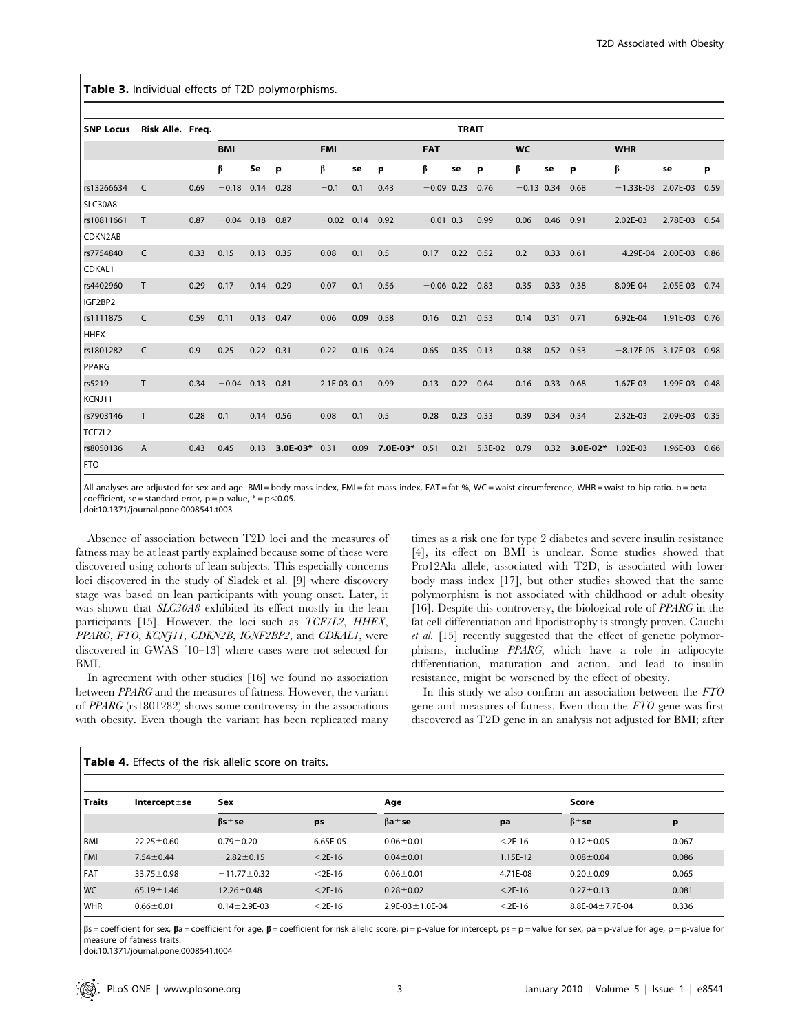Table 3. Individual effects of T2D polymorphisms.

| <b>SNP Locus</b> | Risk Alle. Freq. |      |            |      |          |              |      |            |              | <b>TRAIT</b> |         |              |            |          |                      |          |      |
|------------------|------------------|------|------------|------|----------|--------------|------|------------|--------------|--------------|---------|--------------|------------|----------|----------------------|----------|------|
|                  |                  |      | <b>BMI</b> |      |          | <b>FMI</b>   |      | <b>FAT</b> |              | <b>WC</b>    |         |              | <b>WHR</b> |          |                      |          |      |
|                  |                  |      | β          | Se   | p        | β            | se   | р          | β            | se           | p       | β            | se         | p        | β                    | se       | p    |
| rs13266634       | $\mathsf{C}$     | 0.69 | $-0.18$    | 0.14 | 0.28     | $-0.1$       | 0.1  | 0.43       | $-0.09$ 0.23 |              | 0.76    | $-0.13$ 0.34 |            | 0.68     | $-1.33E-03$          | 2.07E-03 | 0.59 |
| SLC30A8          |                  |      |            |      |          |              |      |            |              |              |         |              |            |          |                      |          |      |
| rs10811661       | T.               | 0.87 | $-0.04$    | 0.18 | 0.87     | $-0.02$ 0.14 |      | 0.92       | $-0.01$ 0.3  |              | 0.99    | 0.06         | 0.46       | 0.91     | 2.02E-03             | 2.78E-03 | 0.54 |
| CDKN2AB          |                  |      |            |      |          |              |      |            |              |              |         |              |            |          |                      |          |      |
| rs7754840        | C                | 0.33 | 0.15       | 0.13 | 0.35     | 0.08         | 0.1  | 0.5        | 0.17         | 0.22         | 0.52    | 0.2          | 0.33       | 0.61     | $-4.29E-04$ 2.00E-03 |          | 0.86 |
| CDKAL1           |                  |      |            |      |          |              |      |            |              |              |         |              |            |          |                      |          |      |
| rs4402960        | T.               | 0.29 | 0.17       | 0.14 | 0.29     | 0.07         | 0.1  | 0.56       | $-0.06$ 0.22 |              | 0.83    | 0.35         | 0.33       | 0.38     | 8.09E-04             | 2.05E-03 | 0.74 |
| IGF2BP2          |                  |      |            |      |          |              |      |            |              |              |         |              |            |          |                      |          |      |
| rs1111875        | C                | 0.59 | 0.11       | 0.13 | 0.47     | 0.06         | 0.09 | 0.58       | 0.16         | 0.21         | 0.53    | 0.14         | 0.31       | 0.71     | 6.92E-04             | 1.91E-03 | 0.76 |
| <b>HHEX</b>      |                  |      |            |      |          |              |      |            |              |              |         |              |            |          |                      |          |      |
| rs1801282        | C                | 0.9  | 0.25       | 0.22 | 0.31     | 0.22         | 0.16 | 0.24       | 0.65         | 0.35         | 0.13    | 0.38         | 0.52       | 0.53     | $-8.17E-05$ 3.17E-03 |          | 0.98 |
| PPARG            |                  |      |            |      |          |              |      |            |              |              |         |              |            |          |                      |          |      |
| rs5219           | T.               | 0.34 | $-0.04$    | 0.13 | 0.81     | 2.1E-03 0.1  |      | 0.99       | 0.13         | 0.22         | 0.64    | 0.16         | 0.33       | 0.68     | 1.67E-03             | 1.99E-03 | 0.48 |
| KCNJ11           |                  |      |            |      |          |              |      |            |              |              |         |              |            |          |                      |          |      |
| rs7903146        | T.               | 0.28 | 0.1        | 0.14 | 0.56     | 0.08         | 0.1  | 0.5        | 0.28         | 0.23         | 0.33    | 0.39         | 0.34       | 0.34     | 2.32E-03             | 2.09E-03 | 0.35 |
| TCF7L2           |                  |      |            |      |          |              |      |            |              |              |         |              |            |          |                      |          |      |
| rs8050136        | A                | 0.43 | 0.45       | 0.13 | 3.0E-03* | 0.31         | 0.09 | 7.0E-03*   | 0.51         | 0.21         | 5.3E-02 | 0.79         | 0.32       | 3.0E-02* | 1.02E-03             | 1.96E-03 | 0.66 |
| <b>FTO</b>       |                  |      |            |      |          |              |      |            |              |              |         |              |            |          |                      |          |      |

All analyses are adjusted for sex and age. BMI = body mass index, FMI = fat mass index, FAT = fat %, WC = waist circumference, WHR = waist to hip ratio. b = beta coefficient, se = standard error,  $p = p$  value,  $* = p$ <0.05.

doi:10.1371/journal.pone.0008541.t003

Absence of association between T2D loci and the measures of fatness may be at least partly explained because some of these were discovered using cohorts of lean subjects. This especially concerns loci discovered in the study of Sladek et al. [9] where discovery stage was based on lean participants with young onset. Later, it was shown that  $SLC30A8$  exhibited its effect mostly in the lean participants [15]. However, the loci such as TCF7L2, HHEX, PPARG, FTO, KCNJ11, CDKN2B, IGNF2BP2, and CDKAL1, were discovered in GWAS [10–13] where cases were not selected for BMI.

In agreement with other studies [16] we found no association between PPARG and the measures of fatness. However, the variant of PPARG (rs1801282) shows some controversy in the associations with obesity. Even though the variant has been replicated many times as a risk one for type 2 diabetes and severe insulin resistance [4], its effect on BMI is unclear. Some studies showed that Pro12Ala allele, associated with T2D, is associated with lower body mass index [17], but other studies showed that the same polymorphism is not associated with childhood or adult obesity [16]. Despite this controversy, the biological role of *PPARG* in the fat cell differentiation and lipodistrophy is strongly proven. Cauchi et al. [15] recently suggested that the effect of genetic polymorphisms, including PPARG, which have a role in adipocyte differentiation, maturation and action, and lead to insulin resistance, might be worsened by the effect of obesity.

In this study we also confirm an association between the FTO gene and measures of fatness. Even thou the FTO gene was first discovered as T2D gene in an analysis not adjusted for BMI; after

| <b>Traits</b> | Intercept $\pm$ se | Sex                 |           | Age                       |           | Score                     |       |
|---------------|--------------------|---------------------|-----------|---------------------------|-----------|---------------------------|-------|
|               |                    | $\beta$ s $\pm$ se  | ps        | $\beta$ a $\pm$ se        | pa        | $\beta$ = se              | p     |
| l BMI         | $22.25 \pm 0.60$   | $0.79 \pm 0.20$     | 6.65E-05  | $0.06 \pm 0.01$           | $<$ 2E-16 | $0.12 \pm 0.05$           | 0.067 |
| <b>FMI</b>    | $7.54 \pm 0.44$    | $-2.82 \pm 0.15$    | $<$ 2E-16 | $0.04 \pm 0.01$           | 1.15E-12  | $0.08 \pm 0.04$           | 0.086 |
| <b>FAT</b>    | $33.75 \pm 0.98$   | $-11.77 \pm 0.32$   | $<$ 2E-16 | $0.06 \pm 0.01$           | 4.71E-08  | $0.20 \pm 0.09$           | 0.065 |
| <b>WC</b>     | $65.19 \pm 1.46$   | $12.26 \pm 0.48$    | $<$ 2E-16 | $0.28 \pm 0.02$           | $<$ 2E-16 | $0.27 \pm 0.13$           | 0.081 |
| <b>WHR</b>    | $0.66 \pm 0.01$    | $0.14 \pm 2.9$ E-03 | $<$ 2E-16 | $2.9E - 03 \pm 1.0E - 04$ | $<$ 2E-16 | $8.8E - 04 \pm 7.7E - 04$ | 0.336 |

| <b>Table 4.</b> Effects of the risk allelic score on traits. |  |  |  |  |  |  |  |
|--------------------------------------------------------------|--|--|--|--|--|--|--|
|--------------------------------------------------------------|--|--|--|--|--|--|--|

 $\beta$ s = coefficient for sex,  $\beta$ a = coefficient for age,  $\beta$  = coefficient for risk allelic score, pi = p-value for intercept, ps = p = value for sex, pa = p-value for age, p = p-value for measure of fatness traits.

doi:10.1371/journal.pone.0008541.t004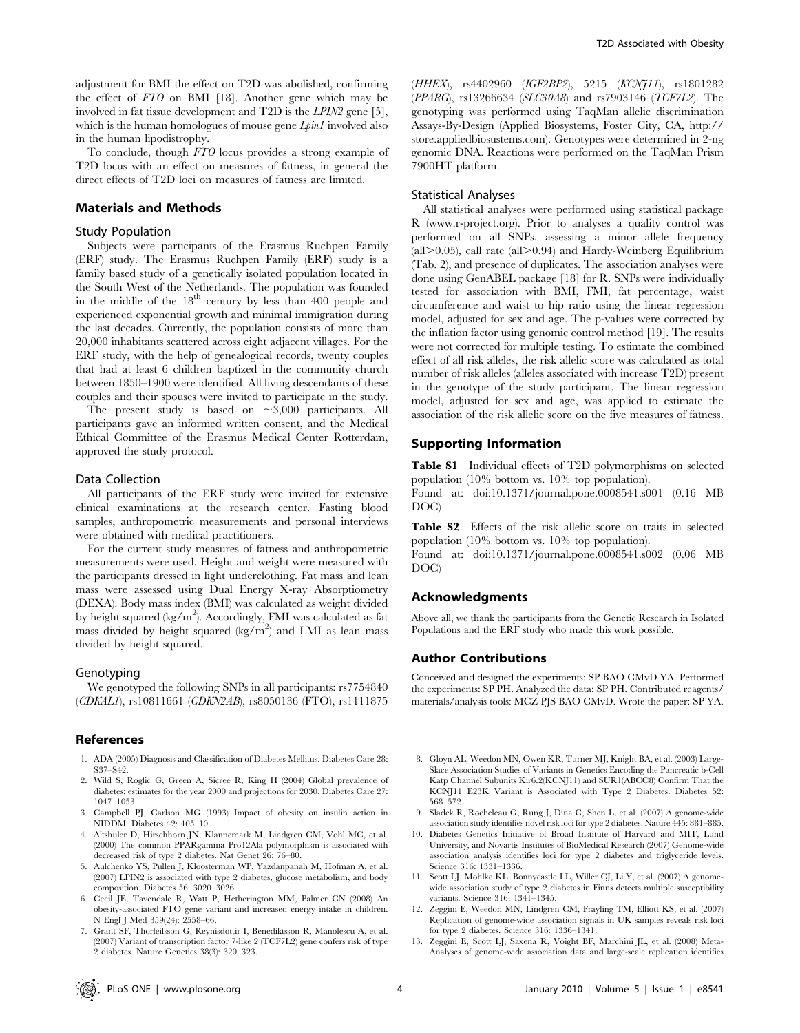adjustment for BMI the effect on T2D was abolished, confirming the effect of FTO on BMI [18]. Another gene which may be involved in fat tissue development and T2D is the LPIN2 gene [5], which is the human homologues of mouse gene *Lpin1* involved also in the human lipodistrophy.

To conclude, though FTO locus provides a strong example of T2D locus with an effect on measures of fatness, in general the direct effects of T2D loci on measures of fatness are limited.

## Materials and Methods

#### Study Population

Subjects were participants of the Erasmus Ruchpen Family (ERF) study. The Erasmus Ruchpen Family (ERF) study is a family based study of a genetically isolated population located in the South West of the Netherlands. The population was founded in the middle of the  $18<sup>th</sup>$  century by less than 400 people and experienced exponential growth and minimal immigration during the last decades. Currently, the population consists of more than 20,000 inhabitants scattered across eight adjacent villages. For the ERF study, with the help of genealogical records, twenty couples that had at least 6 children baptized in the community church between 1850–1900 were identified. All living descendants of these couples and their spouses were invited to participate in the study.

The present study is based on  $\sim 3,000$  participants. All participants gave an informed written consent, and the Medical Ethical Committee of the Erasmus Medical Center Rotterdam, approved the study protocol.

## Data Collection

All participants of the ERF study were invited for extensive clinical examinations at the research center. Fasting blood samples, anthropometric measurements and personal interviews were obtained with medical practitioners.

For the current study measures of fatness and anthropometric measurements were used. Height and weight were measured with the participants dressed in light underclothing. Fat mass and lean mass were assessed using Dual Energy X-ray Absorptiometry (DEXA). Body mass index (BMI) was calculated as weight divided by height squared (kg/m<sup>2</sup>). Accordingly, FMI was calculated as fat mass divided by height squared (kg/m<sup>2</sup>) and LMI as lean mass divided by height squared.

### Genotyping

We genotyped the following SNPs in all participants: rs7754840 (CDKAL1), rs10811661 (CDKN2AB), rs8050136 (FTO), rs1111875

## References

- 1. ADA (2005) Diagnosis and Classification of Diabetes Mellitus. Diabetes Care 28: S37–S42.
- 2. Wild S, Roglic G, Green A, Sicree R, King H (2004) Global prevalence of diabetes: estimates for the year 2000 and projections for 2030. Diabetes Care 27: 1047–1053.
- 3. Campbell PJ, Carlson MG (1993) Impact of obesity on insulin action in NIDDM. Diabetes 42: 405–10.
- 4. Altshuler D, Hirschhorn JN, Klannemark M, Lindgren CM, Vohl MC, et al. (2000) The common PPARgamma Pro12Ala polymorphism is associated with decreased risk of type 2 diabetes. Nat Genet 26: 76–80.
- 5. Aulchenko YS, Pullen J, Kloosterman WP, Yazdanpanah M, Hofman A, et al. (2007) LPIN2 is associated with type 2 diabetes, glucose metabolism, and body composition. Diabetes 56: 3020–3026.
- 6. Cecil JE, Tavendale R, Watt P, Hetherington MM, Palmer CN (2008) An obesity-associated FTO gene variant and increased energy intake in children. N Engl J Med 359(24): 2558–66.
- 7. Grant SF, Thorleifsson G, Reynisdottir I, Benediktsson R, Manolescu A, et al. (2007) Variant of transcription factor 7-like 2 (TCF7L2) gene confers risk of type 2 diabetes. Nature Genetics 38(3): 320–323.

(HHEX), rs4402960 (IGF2BP2), 5215 (KCNJ11), rs1801282 (PPARG), rs13266634 (SLC30A8) and rs7903146 (TCF7L2). The genotyping was performed using TaqMan allelic discrimination Assays-By-Design (Applied Biosystems, Foster City, CA, http:// store.appliedbiosustems.com). Genotypes were determined in 2-ng genomic DNA. Reactions were performed on the TaqMan Prism 7900HT platform.

### Statistical Analyses

All statistical analyses were performed using statistical package R (www.r-project.org). Prior to analyses a quality control was performed on all SNPs, assessing a minor allele frequency (all $>0.05$ ), call rate (all $>0.94$ ) and Hardy-Weinberg Equilibrium (Tab. 2), and presence of duplicates. The association analyses were done using GenABEL package [18] for R. SNPs were individually tested for association with BMI, FMI, fat percentage, waist circumference and waist to hip ratio using the linear regression model, adjusted for sex and age. The p-values were corrected by the inflation factor using genomic control method [19]. The results were not corrected for multiple testing. To estimate the combined effect of all risk alleles, the risk allelic score was calculated as total number of risk alleles (alleles associated with increase T2D) present in the genotype of the study participant. The linear regression model, adjusted for sex and age, was applied to estimate the association of the risk allelic score on the five measures of fatness.

## Supporting Information

Table S1 Individual effects of T2D polymorphisms on selected population (10% bottom vs. 10% top population).

Found at: doi:10.1371/journal.pone.0008541.s001 (0.16 MB DOC)

Table S2 Effects of the risk allelic score on traits in selected population (10% bottom vs. 10% top population).

Found at: doi:10.1371/journal.pone.0008541.s002 (0.06 MB DOC)

## Acknowledgments

Above all, we thank the participants from the Genetic Research in Isolated Populations and the ERF study who made this work possible.

### Author Contributions

Conceived and designed the experiments: SP BAO CMvD YA. Performed the experiments: SP PH. Analyzed the data: SP PH. Contributed reagents/ materials/analysis tools: MCZ PJS BAO CMvD. Wrote the paper: SP YA.

- 8. Gloyn AL, Weedon MN, Owen KR, Turner MJ, Knight BA, et al. (2003) Large-Slace Association Studies of Variants in Genetics Encoding the Pancreatic b-Cell Katp Channel Subunits Kir6.2(KCNJ11) and SUR1(ABCC8) Confirm That the KCNJ11 E23K Variant is Associated with Type 2 Diabetes. Diabetes 52: 568–572.
- 9. Sladek R, Rocheleau G, Rung J, Dina C, Shen L, et al. (2007) A genome-wide association study identifies novel risk loci for type 2 diabetes. Nature 445: 881–885.
- 10. Diabetes Genetics Initiative of Broad Institute of Harvard and MIT, Lund University, and Novartis Institutes of BioMedical Research (2007) Genome-wide association analysis identifies loci for type 2 diabetes and triglyceride levels. Science 316: 1331–1336.
- 11. Scott LJ, Mohlke KL, Bonnycastle LL, Willer CJ, Li Y, et al. (2007) A genomewide association study of type 2 diabetes in Finns detects multiple susceptibility variants. Science 316: 1341–1345.
- 12. Zeggini E, Weedon MN, Lindgren CM, Frayling TM, Elliott KS, et al. (2007) Replication of genome-wide association signals in UK samples reveals risk loci for type 2 diabetes. Science 316: 1336–1341.
- 13. Zeggini E, Scott LJ, Saxena R, Voight BF, Marchini JL, et al. (2008) Meta-Analyses of genome-wide association data and large-scale replication identifies